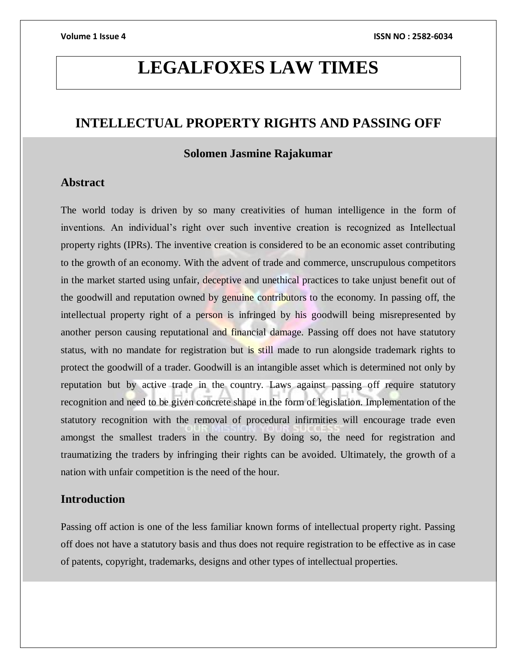# **LEGALFOXES LAW TIMES**

# **INTELLECTUAL PROPERTY RIGHTS AND PASSING OFF**

# **Solomen Jasmine Rajakumar**

## **Abstract**

The world today is driven by so many creativities of human intelligence in the form of inventions. An individual's right over such inventive creation is recognized as Intellectual property rights (IPRs). The inventive creation is considered to be an economic asset contributing to the growth of an economy. With the advent of trade and commerce, unscrupulous competitors in the market started using unfair, deceptive and unethical practices to take unjust benefit out of the goodwill and reputation owned by genuine contributors to the economy. In passing off, the intellectual property right of a person is infringed by his goodwill being misrepresented by another person causing reputational and financial damage. Passing off does not have statutory status, with no mandate for registration but is still made to run alongside trademark rights to protect the goodwill of a trader. Goodwill is an intangible asset which is determined not only by reputation but by active trade in the country. Laws against passing off require statutory recognition and need to be given concrete shape in the form of legislation. Implementation of the statutory recognition with the removal of procedural infirmities will encourage trade even amongst the smallest traders in the country. By doing so, the need for registration and traumatizing the traders by infringing their rights can be avoided. Ultimately, the growth of a nation with unfair competition is the need of the hour.

## **Introduction**

Passing off action is one of the less familiar known forms of intellectual property right. Passing off does not have a statutory basis and thus does not require registration to be effective as in case of patents, copyright, trademarks, designs and other types of intellectual properties.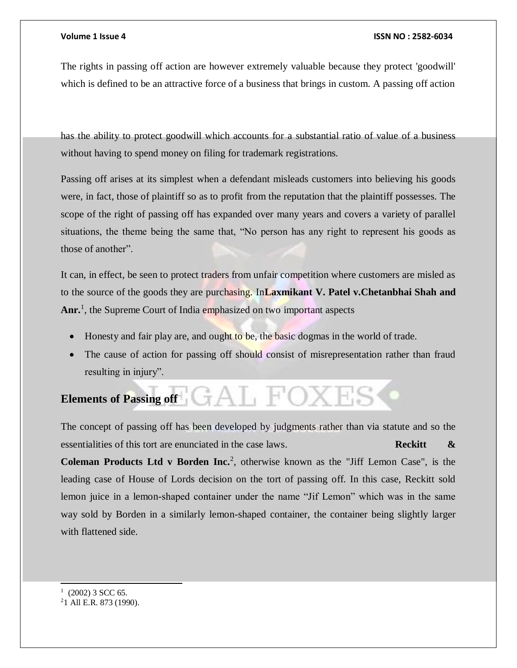#### **Volume 1 Issue 4 ISSN NO : 2582-6034**

The rights in passing off action are however extremely valuable because they protect 'goodwill' which is defined to be an attractive force of a business that brings in custom. A passing off action

has the ability to protect goodwill which accounts for a substantial ratio of value of a business without having to spend money on filing for trademark registrations.

Passing off arises at its simplest when a defendant misleads customers into believing his goods were, in fact, those of plaintiff so as to profit from the reputation that the plaintiff possesses. The scope of the right of passing off has expanded over many years and covers a variety of parallel situations, the theme being the same that, "No person has any right to represent his goods as those of another".

It can, in effect, be seen to protect traders from unfair competition where customers are misled as to the source of the goods they are purchasing. In**Laxmikant V. Patel v.Chetanbhai Shah and**  Anr.<sup>1</sup>, the Supreme Court of India emphasized on two important aspects

- Honesty and fair play are, and ought to be, the basic dogmas in the world of trade.
- The cause of action for passing off should consist of misrepresentation rather than fraud resulting in injury".

# **Elements of Passing off**  $A \cup A$

The concept of passing off has been developed by judgments rather than via statute and so the essentialities of this tort are enunciated in the case laws. **Reckitt & Coleman Products Ltd v Borden Inc.**<sup>2</sup>, otherwise known as the "Jiff Lemon Case", is the leading case of House of Lords decision on the tort of passing off. In this case, Reckitt sold lemon juice in a lemon-shaped container under the name "Jif Lemon" which was in the same way sold by Borden in a similarly lemon-shaped container, the container being slightly larger with flattened side.

l

 $1$  (2002) 3 SCC 65.

<sup>2</sup>1 All E.R. 873 (1990).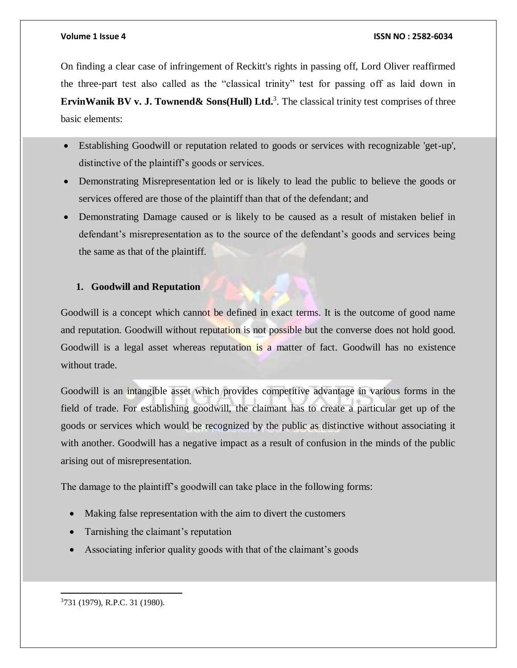#### **Volume 1 Issue 4 ISSN NO : 2582-6034**

On finding a clear case of infringement of Reckitt's rights in passing off, Lord Oliver reaffirmed the three-part test also called as the "classical trinity" test for passing off as laid down in **ErvinWanik BV v. J. Townend & Sons (Hull) Ltd.<sup>3</sup>. The classical trinity test comprises of three** basic elements:

- Establishing Goodwill or reputation related to goods or services with recognizable 'get-up', distinctive of the plaintiff's goods or services.
- Demonstrating Misrepresentation led or is likely to lead the public to believe the goods or services offered are those of the plaintiff than that of the defendant; and
- Demonstrating Damage caused or is likely to be caused as a result of mistaken belief in defendant's misrepresentation as to the source of the defendant's goods and services being the same as that of the plaintiff.

### **1. Goodwill and Reputation**

Goodwill is a concept which cannot be defined in exact terms. It is the outcome of good name and reputation. Goodwill without reputation is not possible but the converse does not hold good. Goodwill is a legal asset whereas reputation is a matter of fact. Goodwill has no existence without trade.

Goodwill is an intangible asset which provides competitive advantage in various forms in the field of trade. For establishing goodwill, the claimant has to create a particular get up of the goods or services which would be recognized by the public as distinctive without associating it with another. Goodwill has a negative impact as a result of confusion in the minds of the public arising out of misrepresentation.

The damage to the plaintiff's goodwill can take place in the following forms:

- Making false representation with the aim to divert the customers
- Tarnishing the claimant's reputation
- Associating inferior quality goods with that of the claimant's goods

 $\overline{a}$ 3731 (1979), R.P.C. 31 (1980).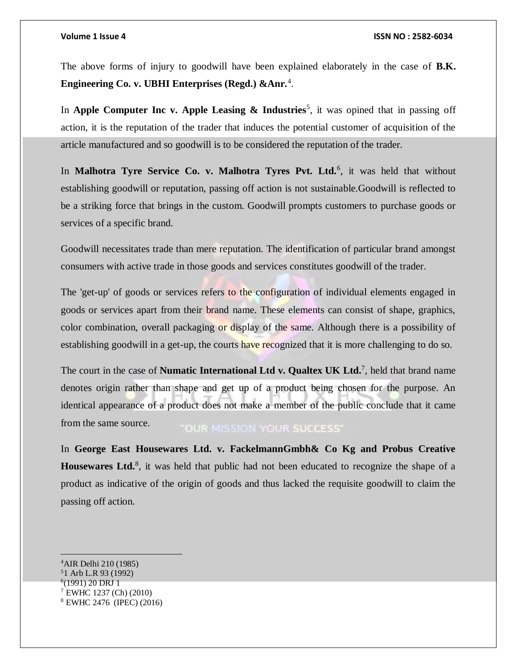The above forms of injury to goodwill have been explained elaborately in the case of **B.K. Engineering Co. v. UBHI Enterprises (Regd.) &Anr.**<sup>4</sup> .

In **Apple Computer Inc v. Apple Leasing & Industries**<sup>5</sup>, it was opined that in passing off action, it is the reputation of the trader that induces the potential customer of acquisition of the article manufactured and so goodwill is to be considered the reputation of the trader.

In Malhotra Tyre Service Co. v. Malhotra Tyres Pvt. Ltd.<sup>6</sup>, it was held that without establishing goodwill or reputation, passing off action is not sustainable.Goodwill is reflected to be a striking force that brings in the custom. Goodwill prompts customers to purchase goods or services of a specific brand.

Goodwill necessitates trade than mere reputation. The identification of particular brand amongst consumers with active trade in those goods and services constitutes goodwill of the trader.

The 'get-up' of goods or services refers to the configuration of individual elements engaged in goods or services apart from their brand name. These elements can consist of shape, graphics, color combination, overall packaging or display of the same. Although there is a possibility of establishing goodwill in a get-up, the courts have recognized that it is more challenging to do so.

The court in the case of **Numatic International Ltd v. Qualtex UK Ltd.**<sup>7</sup> , held that brand name denotes origin rather than shape and get up of a product being chosen for the purpose. An identical appearance of a product does not make a member of the public conclude that it came from the same source. **OUR MISSION YOUR SUCCESS'** 

In **George East Housewares Ltd. v. FackelmannGmbh& Co Kg and Probus Creative**  Housewares Ltd.<sup>8</sup>, it was held that public had not been educated to recognize the shape of a product as indicative of the origin of goods and thus lacked the requisite goodwill to claim the passing off action.

 $\overline{a}$ <sup>4</sup>AIR Delhi 210 (1985) <sup>5</sup>1 Arb L.R 93 (1992) 6 (1991) 20 DRJ 1 <sup>7</sup> EWHC 1237 (Ch) (2010) <sup>8</sup> EWHC 2476 (IPEC) (2016)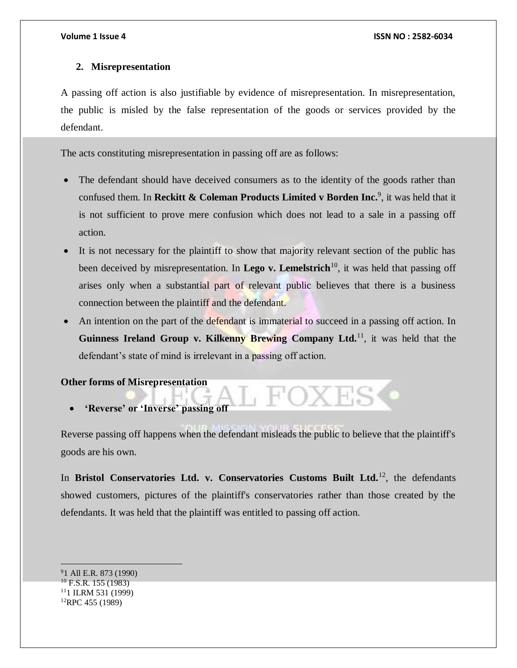### **2. Misrepresentation**

A passing off action is also justifiable by evidence of misrepresentation. In misrepresentation, the public is misled by the false representation of the goods or services provided by the defendant.

The acts constituting misrepresentation in passing off are as follows:

- The defendant should have deceived consumers as to the identity of the goods rather than confused them. In **Reckitt & Coleman Products Limited v Borden Inc.**<sup>9</sup> , it was held that it is not sufficient to prove mere confusion which does not lead to a sale in a passing off action.
- It is not necessary for the plaintiff to show that majority relevant section of the public has been deceived by misrepresentation. In **Lego v. Lemelstrich**<sup>10</sup>, it was held that passing off arises only when a substantial part of relevant public believes that there is a business connection between the plaintiff and the defendant.
- An intention on the part of the defendant is immaterial to succeed in a passing off action. In Guinness Ireland Group v. Kilkenny Brewing Company Ltd.<sup>11</sup>, it was held that the defendant's state of mind is irrelevant in a passing off action.

**Other forms of Misrepresentation**

**'Reverse' or 'Inverse' passing off**

Reverse passing off happens when the defendant misleads the public to believe that the plaintiff's goods are his own.

In **Bristol Conservatories Ltd. v. Conservatories Customs Built Ltd.**<sup>12</sup>, the defendants showed customers, pictures of the plaintiff's conservatories rather than those created by the defendants. It was held that the plaintiff was entitled to passing off action.

1 All E.R. 873 (1990)  $^{10}$  F.S.R. 155 (1983) 1 ILRM 531 (1999) RPC 455 (1989)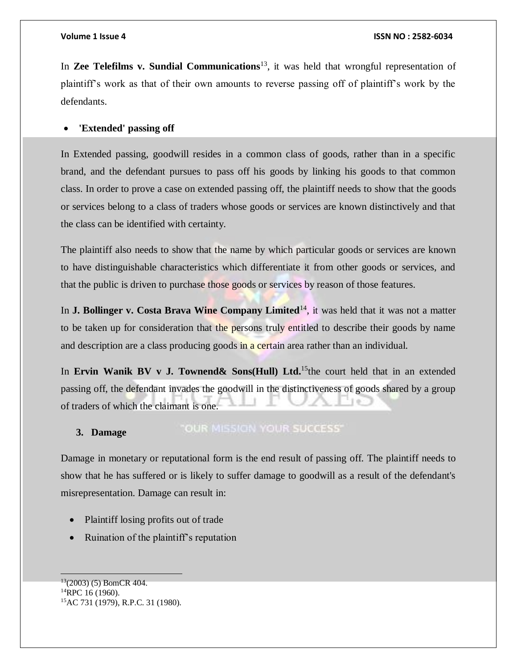In **Zee Telefilms v. Sundial Communications**<sup>13</sup>, it was held that wrongful representation of plaintiff's work as that of their own amounts to reverse passing off of plaintiff's work by the defendants.

#### **'Extended' passing off**

In Extended passing, goodwill resides in a common class of goods, rather than in a specific brand, and the defendant pursues to pass off his goods by linking his goods to that common class. In order to prove a case on extended passing off, the plaintiff needs to show that the goods or services belong to a class of traders whose goods or services are known distinctively and that the class can be identified with certainty.

The plaintiff also needs to show that the name by which particular goods or services are known to have distinguishable characteristics which differentiate it from other goods or services, and that the public is driven to purchase those goods or services by reason of those features.

In **J. Bollinger v. Costa Brava Wine Company Limited**<sup>14</sup>, it was held that it was not a matter to be taken up for consideration that the persons truly entitled to describe their goods by name and description are a class producing goods in a certain area rather than an individual.

In **Ervin Wanik BV v J. Townend& Sons(Hull) Ltd.**<sup>15</sup>the court held that in an extended passing off, the defendant invades the goodwill in the distinctiveness of goods shared by a group of traders of which the claimant is one.

#### "OUR MISSION YOUR SUCCESS" **3. Damage**

Damage in monetary or reputational form is the end result of passing off. The plaintiff needs to show that he has suffered or is likely to suffer damage to goodwill as a result of the defendant's misrepresentation. Damage can result in:

- Plaintiff losing profits out of trade
- Ruination of the plaintiff's reputation

 $\overline{a}$ 

 $13(2003)$  (5) BomCR 404. <sup>14</sup>RPC 16 (1960). 15AC 731 (1979), R.P.C. 31 (1980).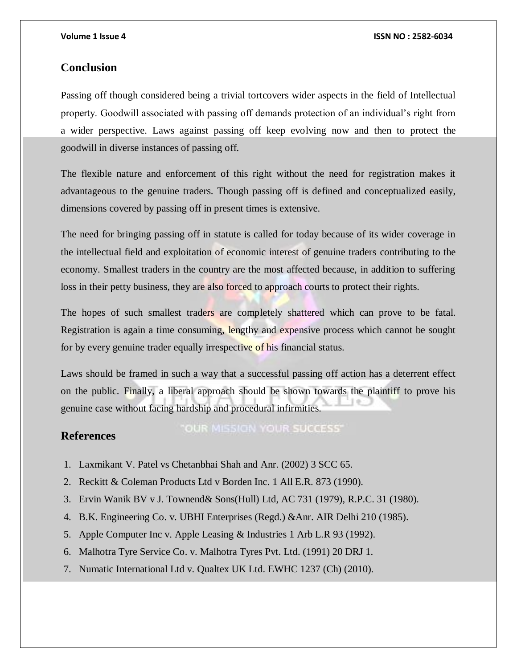### **Conclusion**

Passing off though considered being a trivial tortcovers wider aspects in the field of Intellectual property. Goodwill associated with passing off demands protection of an individual's right from a wider perspective. Laws against passing off keep evolving now and then to protect the goodwill in diverse instances of passing off.

The flexible nature and enforcement of this right without the need for registration makes it advantageous to the genuine traders. Though passing off is defined and conceptualized easily, dimensions covered by passing off in present times is extensive.

The need for bringing passing off in statute is called for today because of its wider coverage in the intellectual field and exploitation of economic interest of genuine traders contributing to the economy. Smallest traders in the country are the most affected because, in addition to suffering loss in their petty business, they are also forced to approach courts to protect their rights.

The hopes of such smallest traders are completely shattered which can prove to be fatal. Registration is again a time consuming, lengthy and expensive process which cannot be sought for by every genuine trader equally irrespective of his financial status.

Laws should be framed in such a way that a successful passing off action has a deterrent effect on the public. Finally, a liberal approach should be shown towards the plaintiff to prove his genuine case without facing hardship and procedural infirmities.

## **References**

"OUR MISSION YOUR SUCCESS"

- 1. Laxmikant V. Patel vs Chetanbhai Shah and Anr. (2002) 3 SCC 65.
- 2. Reckitt & Coleman Products Ltd v Borden Inc. 1 All E.R. 873 (1990).
- 3. Ervin Wanik BV v J. Townend& Sons(Hull) Ltd, AC 731 (1979), R.P.C. 31 (1980).
- 4. B.K. Engineering Co. v. UBHI Enterprises (Regd.) &Anr. AIR Delhi 210 (1985).
- 5. Apple Computer Inc v. Apple Leasing & Industries 1 Arb L.R 93 (1992).
- 6. Malhotra Tyre Service Co. v. Malhotra Tyres Pvt. Ltd. (1991) 20 DRJ 1.
- 7. Numatic International Ltd v. Qualtex UK Ltd. EWHC 1237 (Ch) (2010).